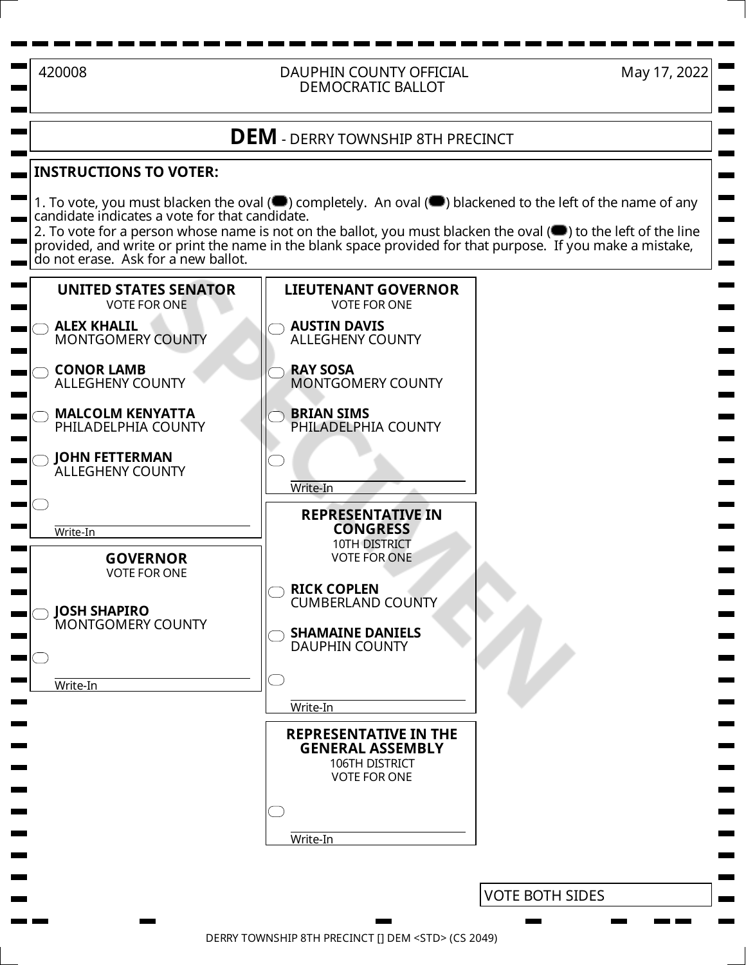## 420008 DAUPHIN COUNTY OFFICIAL DEMOCRATIC BALLOT

May 17, 2022

## **DEM** - DERRY TOWNSHIP 8TH PRECINCT

## **INSTRUCTIONS TO VOTER:**

1. To vote, you must blacken the oval ( $\bullet$ ) completely. An oval ( $\bullet$ ) blackened to the left of the name of any candidate indicates a vote for that candidate.

2. To vote for a person whose name is not on the ballot, you must blacken the oval ( $\blacksquare$ ) to the left of the line provided, and write or print the name in the blank space provided for that purpose. If you make a mistake, do not erase. Ask for a new ballot.



VOTE BOTH SIDES